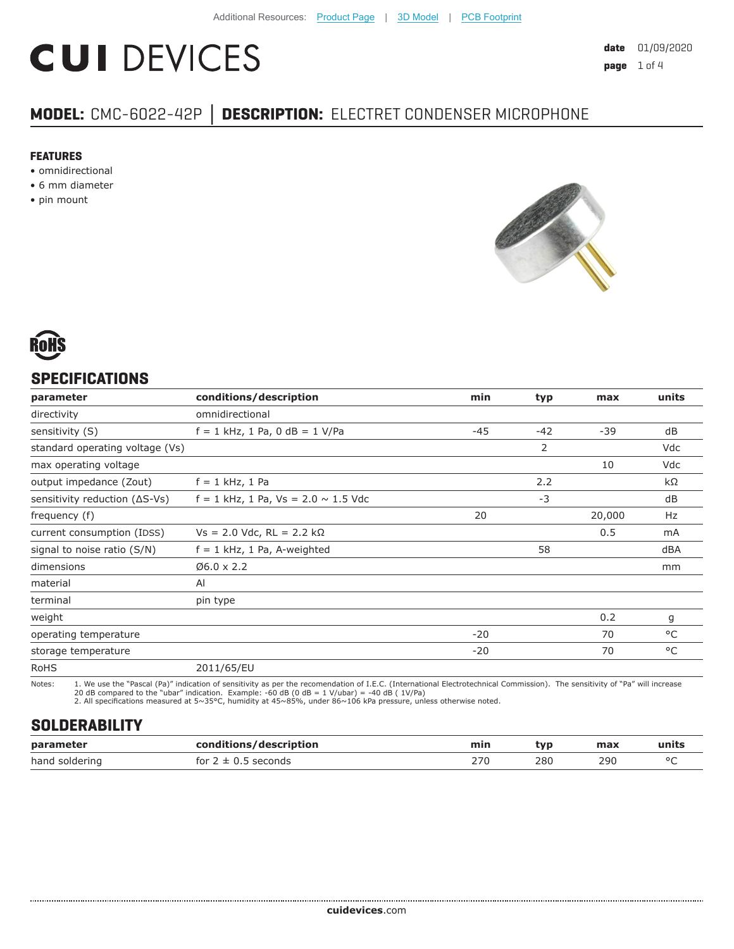# **CUI DEVICES**

# **MODEL:** CMC-6022-42P **│ DESCRIPTION:** ELECTRET CONDENSER MICROPHONE

#### **FEATURES**

- omnidirectional
- 6 mm diameter
- pin mount





# **SPECIFICATIONS**

| parameter                               | conditions/description                     | min   | typ   | max    | units |
|-----------------------------------------|--------------------------------------------|-------|-------|--------|-------|
| directivity                             | omnidirectional                            |       |       |        |       |
| sensitivity (S)                         | $f = 1$ kHz, 1 Pa, 0 dB = 1 V/Pa           | -45   | $-42$ | $-39$  | dB    |
| standard operating voltage (Vs)         |                                            |       | 2     |        | Vdc   |
| max operating voltage                   |                                            |       |       | 10     | Vdc   |
| output impedance (Zout)                 | $f = 1$ kHz, 1 Pa                          |       | 2.2   |        | kΩ    |
| sensitivity reduction $( \Delta S$ -Vs) | $f = 1$ kHz, 1 Pa, Vs = 2.0 $\sim$ 1.5 Vdc |       | $-3$  |        | dB    |
| frequency (f)                           |                                            | 20    |       | 20,000 | Hz    |
| current consumption (IDSS)              | $Vs = 2.0$ Vdc, RL = 2.2 kΩ                |       |       | 0.5    | mA    |
| signal to noise ratio (S/N)             | $f = 1$ kHz, 1 Pa, A-weighted              |       | 58    |        | dBA   |
| dimensions                              | $Ø6.0 \times 2.2$                          |       |       |        | mm    |
| material                                | AI                                         |       |       |        |       |
| terminal                                | pin type                                   |       |       |        |       |
| weight                                  |                                            |       |       | 0.2    | g     |
| operating temperature                   |                                            | $-20$ |       | 70     | °C    |
| storage temperature                     |                                            | $-20$ |       | 70     | °C    |
| <b>RoHS</b>                             | 2011/65/EU                                 |       |       |        |       |

Notes: 1. We use the "Pascal (Pa)" indication of sensitivity as per the recomendation of I.E.C. (International Electrotechnical Commission). The sensitivity of "Pa" will increase 20 dB compared to the "ubar" indication. Example: -60 dB (0 dB = 1 V/ubar) = -40 dB ( 1V/Pa) 2. All specifications measured at 5~35°C, humidity at 45~85%, under 86~106 kPa pressure, unless otherwise noted.

# **SOLDERABILITY**

| parameter      | /description<br>rondit<br>iane | min | tvo | max | units       |
|----------------|--------------------------------|-----|-----|-----|-------------|
| hand soldering | seconds<br>tor<br>ᆠ            | 270 | 280 | 290 | $\sim$<br>∼ |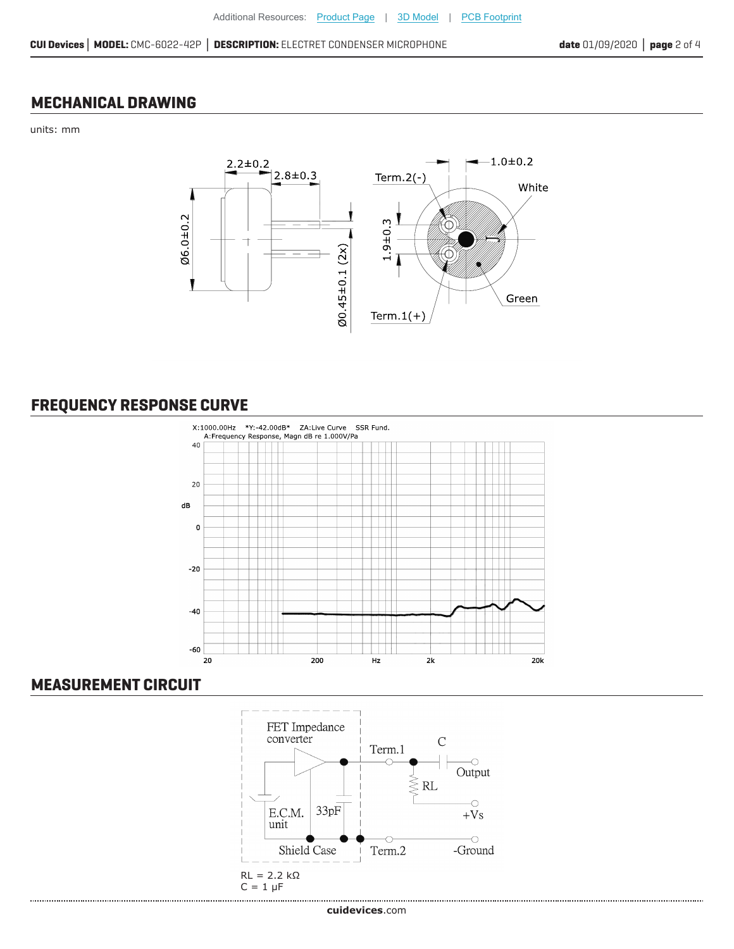# **MECHANICAL DRAWING**

units: mm



# **FREQUENCY RESPONSE CURVE**



# **MEASUREMENT CIRCUIT**

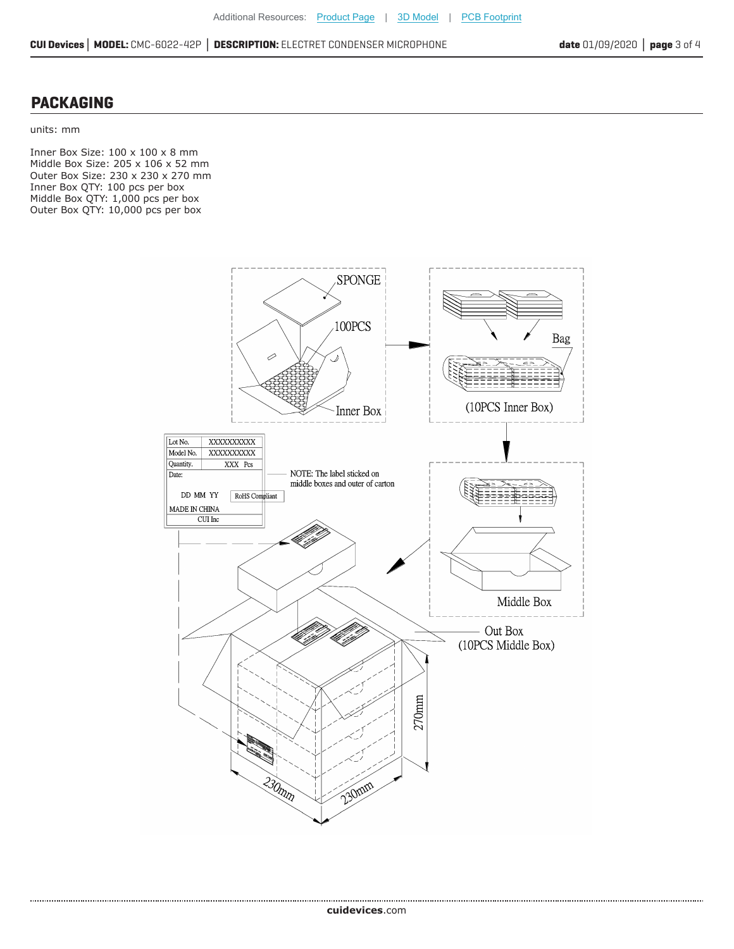#### **PACKAGING**

units: mm

.......................

Inner Box Size: 100 x 100 x 8 mm Middle Box Size: 205 x 106 x 52 mm Outer Box Size: 230 x 230 x 270 mm Inner Box QTY: 100 pcs per box Middle Box QTY: 1,000 pcs per box Outer Box QTY: 10,000 pcs per box